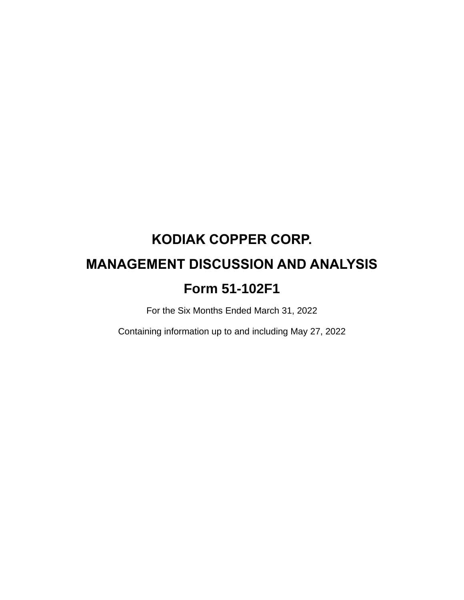# **KODIAK COPPER CORP. MANAGEMENT DISCUSSION AND ANALYSIS Form 51-102F1**

For the Six Months Ended March 31, 2022

Containing information up to and including May 27, 2022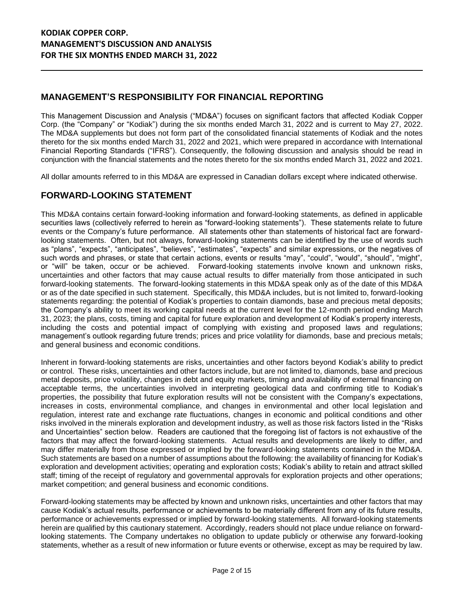# **MANAGEMENT'S RESPONSIBILITY FOR FINANCIAL REPORTING**

This Management Discussion and Analysis ("MD&A") focuses on significant factors that affected Kodiak Copper Corp. (the "Company" or "Kodiak") during the six months ended March 31, 2022 and is current to May 27, 2022. The MD&A supplements but does not form part of the consolidated financial statements of Kodiak and the notes thereto for the six months ended March 31, 2022 and 2021, which were prepared in accordance with International Financial Reporting Standards ("IFRS"). Consequently, the following discussion and analysis should be read in conjunction with the financial statements and the notes thereto for the six months ended March 31, 2022 and 2021.

All dollar amounts referred to in this MD&A are expressed in Canadian dollars except where indicated otherwise.

## **FORWARD-LOOKING STATEMENT**

This MD&A contains certain forward-looking information and forward-looking statements, as defined in applicable securities laws (collectively referred to herein as "forward-looking statements"). These statements relate to future events or the Company's future performance. All statements other than statements of historical fact are forwardlooking statements. Often, but not always, forward-looking statements can be identified by the use of words such as "plans", "expects", "anticipates", "believes", "estimates", "expects" and similar expressions, or the negatives of such words and phrases, or state that certain actions, events or results "may", "could", "would", "should", "might", or "will" be taken, occur or be achieved. Forward-looking statements involve known and unknown risks, uncertainties and other factors that may cause actual results to differ materially from those anticipated in such forward-looking statements. The forward-looking statements in this MD&A speak only as of the date of this MD&A or as of the date specified in such statement. Specifically, this MD&A includes, but is not limited to, forward-looking statements regarding: the potential of Kodiak's properties to contain diamonds, base and precious metal deposits; the Company's ability to meet its working capital needs at the current level for the 12-month period ending March 31, 2023; the plans, costs, timing and capital for future exploration and development of Kodiak's property interests, including the costs and potential impact of complying with existing and proposed laws and regulations; management's outlook regarding future trends; prices and price volatility for diamonds, base and precious metals; and general business and economic conditions.

Inherent in forward-looking statements are risks, uncertainties and other factors beyond Kodiak's ability to predict or control. These risks, uncertainties and other factors include, but are not limited to, diamonds, base and precious metal deposits, price volatility, changes in debt and equity markets, timing and availability of external financing on acceptable terms, the uncertainties involved in interpreting geological data and confirming title to Kodiak's properties, the possibility that future exploration results will not be consistent with the Company's expectations, increases in costs, environmental compliance, and changes in environmental and other local legislation and regulation, interest rate and exchange rate fluctuations, changes in economic and political conditions and other risks involved in the minerals exploration and development industry, as well as those risk factors listed in the "Risks and Uncertainties" section below. Readers are cautioned that the foregoing list of factors is not exhaustive of the factors that may affect the forward-looking statements. Actual results and developments are likely to differ, and may differ materially from those expressed or implied by the forward-looking statements contained in the MD&A. Such statements are based on a number of assumptions about the following: the availability of financing for Kodiak's exploration and development activities; operating and exploration costs; Kodiak's ability to retain and attract skilled staff; timing of the receipt of regulatory and governmental approvals for exploration projects and other operations; market competition; and general business and economic conditions.

Forward-looking statements may be affected by known and unknown risks, uncertainties and other factors that may cause Kodiak's actual results, performance or achievements to be materially different from any of its future results, performance or achievements expressed or implied by forward-looking statements. All forward-looking statements herein are qualified by this cautionary statement. Accordingly, readers should not place undue reliance on forwardlooking statements. The Company undertakes no obligation to update publicly or otherwise any forward-looking statements, whether as a result of new information or future events or otherwise, except as may be required by law.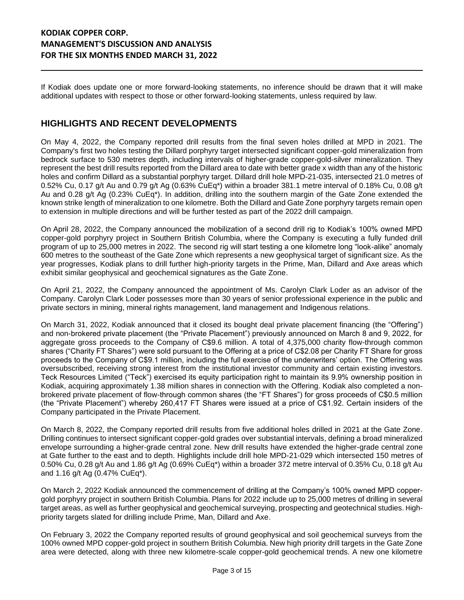If Kodiak does update one or more forward-looking statements, no inference should be drawn that it will make additional updates with respect to those or other forward-looking statements, unless required by law.

## **HIGHLIGHTS AND RECENT DEVELOPMENTS**

On May 4, 2022, the Company reported drill results from the final seven holes drilled at MPD in 2021. The Company's first two holes testing the Dillard porphyry target intersected significant copper-gold mineralization from bedrock surface to 530 metres depth, including intervals of higher-grade copper-gold-silver mineralization. They represent the best drill results reported from the Dillard area to date with better grade x width than any of the historic holes and confirm Dillard as a substantial porphyry target. Dillard drill hole MPD-21-035, intersected 21.0 metres of 0.52% Cu, 0.17 g/t Au and 0.79 g/t Ag (0.63% CuEq\*) within a broader 381.1 metre interval of 0.18% Cu, 0.08 g/t Au and 0.28 g/t Ag (0.23% CuEq\*). In addition, drilling into the southern margin of the Gate Zone extended the known strike length of mineralization to one kilometre. Both the Dillard and Gate Zone porphyry targets remain open to extension in multiple directions and will be further tested as part of the 2022 drill campaign.

On April 28, 2022, the Company announced the mobilization of a second drill rig to Kodiak's 100% owned MPD copper-gold porphyry project in Southern British Columbia, where the Company is executing a fully funded drill program of up to 25,000 metres in 2022. The second rig will start testing a one kilometre long "look-alike" anomaly 600 metres to the southeast of the Gate Zone which represents a new geophysical target of significant size. As the year progresses, Kodiak plans to drill further high-priority targets in the Prime, Man, Dillard and Axe areas which exhibit similar geophysical and geochemical signatures as the Gate Zone.

On April 21, 2022, the Company announced the appointment of Ms. Carolyn Clark Loder as an advisor of the Company. Carolyn Clark Loder possesses more than 30 years of senior professional experience in the public and private sectors in mining, mineral rights management, land management and Indigenous relations.

On March 31, 2022, Kodiak announced that it closed its bought deal private placement financing (the "Offering") and non-brokered private placement (the "Private Placement") previously announced on March 8 and 9, 2022, for aggregate gross proceeds to the Company of C\$9.6 million. A total of 4,375,000 charity flow-through common shares ("Charity FT Shares") were sold pursuant to the Offering at a price of C\$2.08 per Charity FT Share for gross proceeds to the Company of C\$9.1 million, including the full exercise of the underwriters' option. The Offering was oversubscribed, receiving strong interest from the institutional investor community and certain existing investors. Teck Resources Limited ("Teck") exercised its equity participation right to maintain its 9.9% ownership position in Kodiak, acquiring approximately 1.38 million shares in connection with the Offering. Kodiak also completed a nonbrokered private placement of flow-through common shares (the "FT Shares") for gross proceeds of C\$0.5 million (the "Private Placement") whereby 260,417 FT Shares were issued at a price of C\$1.92. Certain insiders of the Company participated in the Private Placement.

On March 8, 2022, the Company reported drill results from five additional holes drilled in 2021 at the Gate Zone. Drilling continues to intersect significant copper-gold grades over substantial intervals, defining a broad mineralized envelope surrounding a higher-grade central zone. New drill results have extended the higher-grade central zone at Gate further to the east and to depth. Highlights include drill hole MPD-21-029 which intersected 150 metres of 0.50% Cu, 0.28 g/t Au and 1.86 g/t Ag (0.69% CuEq\*) within a broader 372 metre interval of 0.35% Cu, 0.18 g/t Au and 1.16 g/t Ag (0.47% CuEq\*).

On March 2, 2022 Kodiak announced the commencement of drilling at the Company's 100% owned MPD coppergold porphyry project in southern British Columbia. Plans for 2022 include up to 25,000 metres of drilling in several target areas, as well as further geophysical and geochemical surveying, prospecting and geotechnical studies. Highpriority targets slated for drilling include Prime, Man, Dillard and Axe.

On February 3, 2022 the Company reported results of ground geophysical and soil geochemical surveys from the 100% owned MPD copper-gold project in southern British Columbia. New high priority drill targets in the Gate Zone area were detected, along with three new kilometre-scale copper-gold geochemical trends. A new one kilometre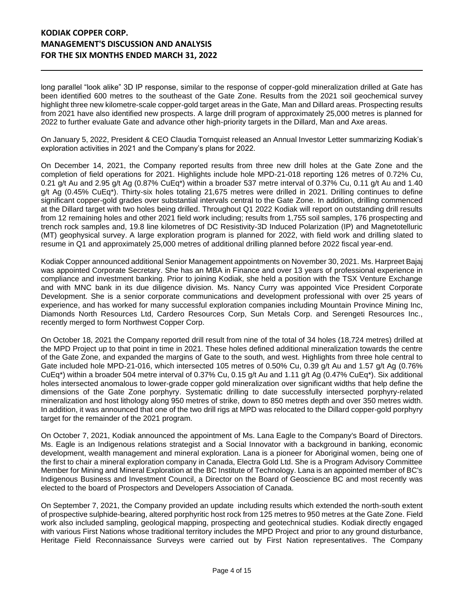long parallel "look alike" 3D IP response, similar to the response of copper-gold mineralization drilled at Gate has been identified 600 metres to the southeast of the Gate Zone. Results from the 2021 soil geochemical survey highlight three new kilometre-scale copper-gold target areas in the Gate, Man and Dillard areas. Prospecting results from 2021 have also identified new prospects. A large drill program of approximately 25,000 metres is planned for 2022 to further evaluate Gate and advance other high-priority targets in the Dillard, Man and Axe areas.

On January 5, 2022, President & CEO Claudia Tornquist released an Annual Investor Letter summarizing Kodiak's exploration activities in 2021 and the Company's plans for 2022.

On December 14, 2021, the Company reported results from three new drill holes at the Gate Zone and the completion of field operations for 2021. Highlights include hole MPD-21-018 reporting 126 metres of 0.72% Cu, 0.21 g/t Au and 2.95 g/t Ag (0.87% CuEq\*) within a broader 537 metre interval of 0.37% Cu, 0.11 g/t Au and 1.40 g/t Ag (0.45% CuEq\*). Thirty-six holes totaling 21,675 metres were drilled in 2021. Drilling continues to define significant copper-gold grades over substantial intervals central to the Gate Zone. In addition, drilling commenced at the Dillard target with two holes being drilled. Throughout Q1 2022 Kodiak will report on outstanding drill results from 12 remaining holes and other 2021 field work including; results from 1,755 soil samples, 176 prospecting and trench rock samples and, 19.8 line kilometres of DC Resistivity-3D Induced Polarization (IP) and Magnetotelluric (MT) geophysical survey. A large exploration program is planned for 2022, with field work and drilling slated to resume in Q1 and approximately 25,000 metres of additional drilling planned before 2022 fiscal year-end.

Kodiak Copper announced additional Senior Management appointments on November 30, 2021. Ms. Harpreet Bajaj was appointed Corporate Secretary. She has an MBA in Finance and over 13 years of professional experience in compliance and investment banking. Prior to joining Kodiak, she held a position with the TSX Venture Exchange and with MNC bank in its due diligence division. Ms. Nancy Curry was appointed Vice President Corporate Development. She is a senior corporate communications and development professional with over 25 years of experience, and has worked for many successful exploration companies including Mountain Province Mining Inc, Diamonds North Resources Ltd, Cardero Resources Corp, Sun Metals Corp. and Serengeti Resources Inc., recently merged to form Northwest Copper Corp.

On October 18, 2021 the Company reported drill result from nine of the total of 34 holes (18,724 metres) drilled at the MPD Project up to that point in time in 2021. These holes defined additional mineralization towards the centre of the Gate Zone, and expanded the margins of Gate to the south, and west. Highlights from three hole central to Gate included hole MPD-21-016, which intersected 105 metres of 0.50% Cu, 0.39 g/t Au and 1.57 g/t Ag (0.76% CuEq\*) within a broader 504 metre interval of 0.37% Cu, 0.15 g/t Au and 1.11 g/t Ag (0.47% CuEq\*). Six additional holes intersected anomalous to lower-grade copper gold mineralization over significant widths that help define the dimensions of the Gate Zone porphyry. Systematic drilling to date successfully intersected porphyry-related mineralization and host lithology along 950 metres of strike, down to 850 metres depth and over 350 metres width. In addition, it was announced that one of the two drill rigs at MPD was relocated to the Dillard copper-gold porphyry target for the remainder of the 2021 program.

On October 7, 2021, Kodiak announced the appointment of Ms. Lana Eagle to the Company's Board of Directors. Ms. Eagle is an Indigenous relations strategist and a Social Innovator with a background in banking, economic development, wealth management and mineral exploration. Lana is a pioneer for Aboriginal women, being one of the first to chair a mineral exploration company in Canada, Electra Gold Ltd. She is a Program Advisory Committee Member for Mining and Mineral Exploration at the BC Institute of Technology. Lana is an appointed member of BC's Indigenous Business and Investment Council, a Director on the Board of Geoscience BC and most recently was elected to the board of Prospectors and Developers Association of Canada.

On September 7, 2021, the Company provided an update including results which extended the north-south extent of prospective sulphide-bearing, altered porphyritic host rock from 125 metres to 950 metres at the Gate Zone. Field work also included sampling, geological mapping, prospecting and geotechnical studies. Kodiak directly engaged with various First Nations whose traditional territory includes the MPD Project and prior to any ground disturbance, Heritage Field Reconnaissance Surveys were carried out by First Nation representatives. The Company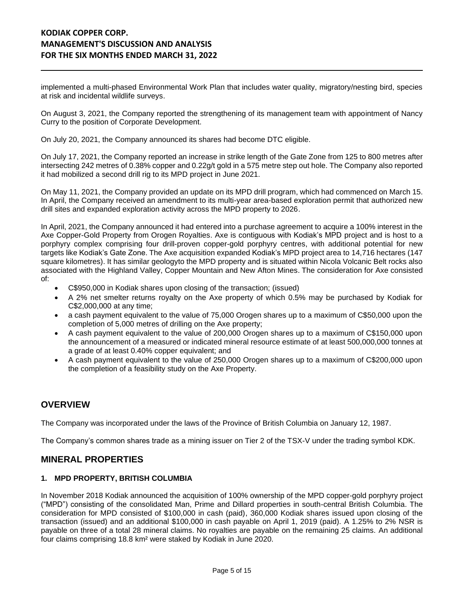implemented a multi-phased Environmental Work Plan that includes water quality, migratory/nesting bird, species at risk and incidental wildlife surveys.

On August 3, 2021, the Company reported the strengthening of its management team with appointment of Nancy Curry to the position of Corporate Development.

On July 20, 2021, the Company announced its shares had become DTC eligible.

On July 17, 2021, the Company reported an increase in strike length of the Gate Zone from 125 to 800 metres after intersecting 242 metres of 0.38% copper and 0.22g/t gold in a 575 metre step out hole. The Company also reported it had mobilized a second drill rig to its MPD project in June 2021.

On May 11, 2021, the Company provided an update on its MPD drill program, which had commenced on March 15. In April, the Company received an amendment to its multi-year area-based exploration permit that authorized new drill sites and expanded exploration activity across the MPD property to 2026.

In April, 2021, the Company announced it had entered into a purchase agreement to acquire a 100% interest in the Axe Copper-Gold Property from Orogen Royalties. Axe is contiguous with Kodiak's MPD project and is host to a porphyry complex comprising four drill-proven copper-gold porphyry centres, with additional potential for new targets like Kodiak's Gate Zone. The Axe acquisition expanded Kodiak's MPD project area to 14,716 hectares (147 square kilometres). It has similar geologyto the MPD property and is situated within Nicola Volcanic Belt rocks also associated with the Highland Valley, Copper Mountain and New Afton Mines. The consideration for Axe consisted of:

- C\$950,000 in Kodiak shares upon closing of the transaction; (issued)
- A 2% net smelter returns royalty on the Axe property of which 0.5% may be purchased by Kodiak for C\$2,000,000 at any time;
- a cash payment equivalent to the value of 75,000 Orogen shares up to a maximum of C\$50,000 upon the completion of 5,000 metres of drilling on the Axe property;
- A cash payment equivalent to the value of 200,000 Orogen shares up to a maximum of C\$150,000 upon the announcement of a measured or indicated mineral resource estimate of at least 500,000,000 tonnes at a grade of at least 0.40% copper equivalent; and
- A cash payment equivalent to the value of 250,000 Orogen shares up to a maximum of C\$200,000 upon the completion of a feasibility study on the Axe Property.

#### **OVERVIEW**

The Company was incorporated under the laws of the Province of British Columbia on January 12, 1987.

The Company's common shares trade as a mining issuer on Tier 2 of the TSX-V under the trading symbol KDK.

#### **MINERAL PROPERTIES**

#### **1. MPD PROPERTY, BRITISH COLUMBIA**

In November 2018 Kodiak announced the acquisition of 100% ownership of the MPD copper-gold porphyry project ("MPD") consisting of the consolidated Man, Prime and Dillard properties in south-central British Columbia. The consideration for MPD consisted of \$100,000 in cash (paid), 360,000 Kodiak shares issued upon closing of the transaction (issued) and an additional \$100,000 in cash payable on April 1, 2019 (paid). A 1.25% to 2% NSR is payable on three of a total 28 mineral claims. No royalties are payable on the remaining 25 claims. An additional four claims comprising 18.8 km² were staked by Kodiak in June 2020.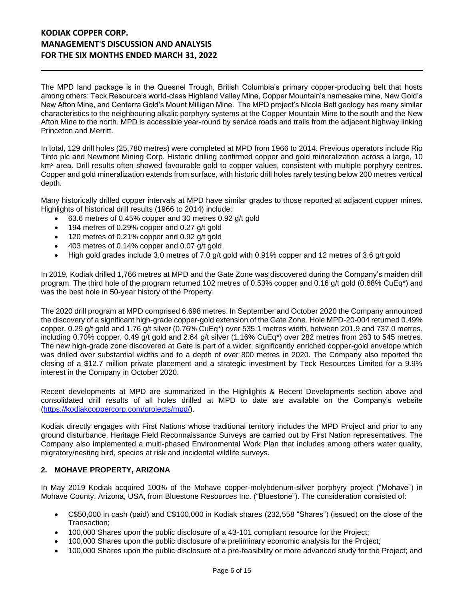The MPD land package is in the Quesnel Trough, British Columbia's primary copper-producing belt that hosts among others: Teck Resource's world-class Highland Valley Mine, Copper Mountain's namesake mine, New Gold's New Afton Mine, and Centerra Gold's Mount Milligan Mine. The MPD project's Nicola Belt geology has many similar characteristics to the neighbouring alkalic porphyry systems at the Copper Mountain Mine to the south and the New Afton Mine to the north. MPD is accessible year-round by service roads and trails from the adjacent highway linking Princeton and Merritt.

In total, 129 drill holes (25,780 metres) were completed at MPD from 1966 to 2014. Previous operators include Rio Tinto plc and Newmont Mining Corp. Historic drilling confirmed copper and gold mineralization across a large, 10 km<sup>2</sup> area. Drill results often showed favourable gold to copper values, consistent with multiple porphyry centres. Copper and gold mineralization extends from surface, with historic drill holes rarely testing below 200 metres vertical depth.

Many historically drilled copper intervals at MPD have similar grades to those reported at adjacent copper mines. Highlights of historical drill results (1966 to 2014) include:

- 63.6 metres of 0.45% copper and 30 metres 0.92 g/t gold
- 194 metres of 0.29% copper and 0.27 g/t gold
- 120 metres of 0.21% copper and 0.92 g/t gold
- 403 metres of 0.14% copper and 0.07 g/t gold
- High gold grades include 3.0 metres of 7.0 g/t gold with 0.91% copper and 12 metres of 3.6 g/t gold

In 2019, Kodiak drilled 1,766 metres at MPD and the Gate Zone was discovered during the Company's maiden drill program. The third hole of the program returned 102 metres of 0.53% copper and 0.16 g/t gold (0.68% CuEq\*) and was the best hole in 50-year history of the Property.

The 2020 drill program at MPD comprised 6.698 metres. In September and October 2020 the Company announced the discovery of a significant high-grade copper-gold extension of the Gate Zone. Hole MPD-20-004 returned 0.49% copper, 0.29 g/t gold and 1.76 g/t silver (0.76% CuEq\*) over 535.1 metres width, between 201.9 and 737.0 metres, including 0.70% copper, 0.49 g/t gold and 2.64 g/t silver (1.16% CuEq\*) over 282 metres from 263 to 545 metres. The new high-grade zone discovered at Gate is part of a wider, significantly enriched copper-gold envelope which was drilled over substantial widths and to a depth of over 800 metres in 2020. The Company also reported the closing of a \$12.7 million private placement and a strategic investment by Teck Resources Limited for a 9.9% interest in the Company in October 2020.

Recent developments at MPD are summarized in the Highlights & Recent Developments section above and consolidated drill results of all holes drilled at MPD to date are available on the Company's website [\(https://kodiakcoppercorp.com/projects/mpd/\)](https://kodiakcoppercorp.com/projects/mpd/).

Kodiak directly engages with First Nations whose traditional territory includes the MPD Project and prior to any ground disturbance, Heritage Field Reconnaissance Surveys are carried out by First Nation representatives. The Company also implemented a multi-phased Environmental Work Plan that includes among others water quality, migratory/nesting bird, species at risk and incidental wildlife surveys.

#### **2. MOHAVE PROPERTY, ARIZONA**

In May 2019 Kodiak acquired 100% of the Mohave copper-molybdenum-silver porphyry project ("Mohave") in Mohave County, Arizona, USA, from Bluestone Resources Inc. ("Bluestone"). The consideration consisted of:

- C\$50,000 in cash (paid) and C\$100,000 in Kodiak shares (232,558 "Shares") (issued) on the close of the Transaction;
- 100,000 Shares upon the public disclosure of a 43-101 compliant resource for the Project;
- 100,000 Shares upon the public disclosure of a preliminary economic analysis for the Project;
- 100,000 Shares upon the public disclosure of a pre-feasibility or more advanced study for the Project; and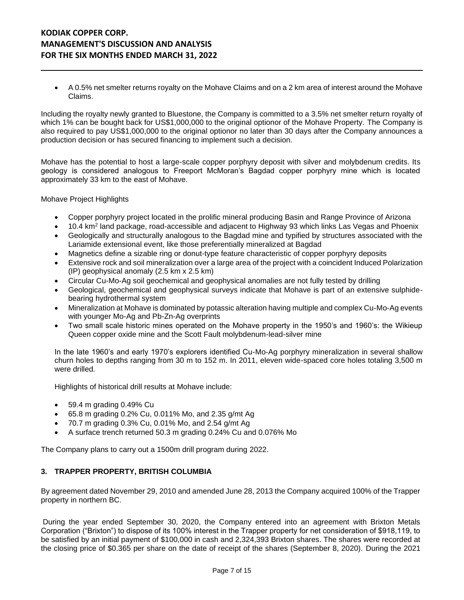• A 0.5% net smelter returns royalty on the Mohave Claims and on a 2 km area of interest around the Mohave Claims.

Including the royalty newly granted to Bluestone, the Company is committed to a 3.5% net smelter return royalty of which 1% can be bought back for US\$1,000,000 to the original optionor of the Mohave Property. The Company is also required to pay US\$1,000,000 to the original optionor no later than 30 days after the Company announces a production decision or has secured financing to implement such a decision.

Mohave has the potential to host a large-scale copper porphyry deposit with silver and molybdenum credits. Its geology is considered analogous to Freeport McMoran's Bagdad copper porphyry mine which is located approximately 33 km to the east of Mohave.

Mohave Project Highlights

- Copper porphyry project located in the prolific mineral producing Basin and Range Province of Arizona
- 10.4 km<sup>2</sup> land package, road-accessible and adjacent to Highway 93 which links Las Vegas and Phoenix
- Geologically and structurally analogous to the Bagdad mine and typified by structures associated with the Lariamide extensional event, like those preferentially mineralized at Bagdad
- Magnetics define a sizable ring or donut-type feature characteristic of copper porphyry deposits
- Extensive rock and soil mineralization over a large area of the project with a coincident Induced Polarization (IP) geophysical anomaly (2.5 km x 2.5 km)
- Circular Cu-Mo-Ag soil geochemical and geophysical anomalies are not fully tested by drilling
- Geological, geochemical and geophysical surveys indicate that Mohave is part of an extensive sulphidebearing hydrothermal system
- Mineralization at Mohave is dominated by potassic alteration having multiple and complex Cu-Mo-Ag events with younger Mo-Ag and Pb-Zn-Ag overprints
- Two small scale historic mines operated on the Mohave property in the 1950's and 1960's: the Wikieup Queen copper oxide mine and the Scott Fault molybdenum-lead-silver mine

In the late 1960's and early 1970's explorers identified Cu-Mo-Ag porphyry mineralization in several shallow churn holes to depths ranging from 30 m to 152 m. In 2011, eleven wide-spaced core holes totaling 3,500 m were drilled.

Highlights of historical drill results at Mohave include:

- 59.4 m grading 0.49% Cu
- 65.8 m grading 0.2% Cu, 0.011% Mo, and 2.35 g/mt Ag
- 70.7 m grading 0.3% Cu, 0.01% Mo, and 2.54 g/mt Ag
- A surface trench returned 50.3 m grading 0.24% Cu and 0.076% Mo

The Company plans to carry out a 1500m drill program during 2022.

#### **3. TRAPPER PROPERTY, BRITISH COLUMBIA**

By agreement dated November 29, 2010 and amended June 28, 2013 the Company acquired 100% of the Trapper property in northern BC.

During the year ended September 30, 2020, the Company entered into an agreement with Brixton Metals Corporation ("Brixton") to dispose of its 100% interest in the Trapper property for net consideration of \$918,119, to be satisfied by an initial payment of \$100,000 in cash and 2,324,393 Brixton shares. The shares were recorded at the closing price of \$0.365 per share on the date of receipt of the shares (September 8, 2020). During the 2021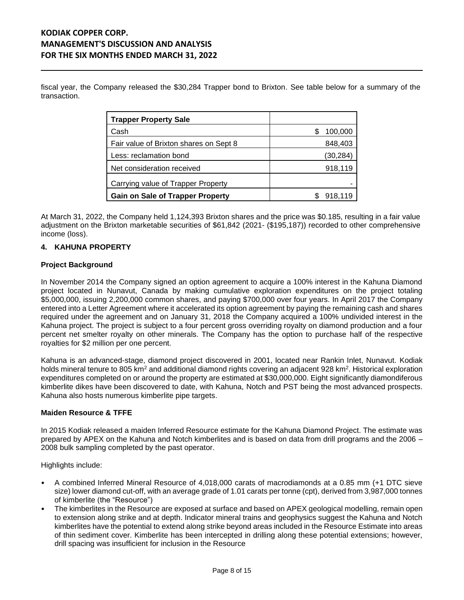fiscal year, the Company released the \$30,284 Trapper bond to Brixton. See table below for a summary of the transaction.

| <b>Trapper Property Sale</b>            |              |
|-----------------------------------------|--------------|
| Cash                                    | 100,000<br>S |
| Fair value of Brixton shares on Sept 8  | 848,403      |
| Less: reclamation bond                  | (30, 284)    |
| Net consideration received              | 918,119      |
| Carrying value of Trapper Property      |              |
| <b>Gain on Sale of Trapper Property</b> | 918,119      |

At March 31, 2022, the Company held 1,124,393 Brixton shares and the price was \$0.185, resulting in a fair value adjustment on the Brixton marketable securities of \$61,842 (2021- (\$195,187)) recorded to other comprehensive income (loss).

#### **4. KAHUNA PROPERTY**

#### **Project Background**

In November 2014 the Company signed an option agreement to acquire a 100% interest in the Kahuna Diamond project located in Nunavut, Canada by making cumulative exploration expenditures on the project totaling \$5,000,000, issuing 2,200,000 common shares, and paying \$700,000 over four years. In April 2017 the Company entered into a Letter Agreement where it accelerated its option agreement by paying the remaining cash and shares required under the agreement and on January 31, 2018 the Company acquired a 100% undivided interest in the Kahuna project. The project is subject to a four percent gross overriding royalty on diamond production and a four percent net smelter royalty on other minerals. The Company has the option to purchase half of the respective royalties for \$2 million per one percent.

Kahuna is an advanced-stage, diamond project discovered in 2001, located near Rankin Inlet, Nunavut. Kodiak holds mineral tenure to 805 km<sup>2</sup> and additional diamond rights covering an adjacent 928 km<sup>2</sup>. Historical exploration expenditures completed on or around the property are estimated at \$30,000,000. Eight significantly diamondiferous kimberlite dikes have been discovered to date, with Kahuna, Notch and PST being the most advanced prospects. Kahuna also hosts numerous kimberlite pipe targets.

#### **Maiden Resource & TFFE**

In 2015 Kodiak released a maiden Inferred Resource estimate for the Kahuna Diamond Project. The estimate was prepared by APEX on the Kahuna and Notch kimberlites and is based on data from drill programs and the 2006 – 2008 bulk sampling completed by the past operator.

Highlights include:

- A combined Inferred Mineral Resource of 4,018,000 carats of macrodiamonds at a 0.85 mm (+1 DTC sieve size) lower diamond cut-off, with an average grade of 1.01 carats per tonne (cpt), derived from 3,987,000 tonnes of kimberlite (the "Resource")
- The kimberlites in the Resource are exposed at surface and based on APEX geological modelling, remain open to extension along strike and at depth. Indicator mineral trains and geophysics suggest the Kahuna and Notch kimberlites have the potential to extend along strike beyond areas included in the Resource Estimate into areas of thin sediment cover. Kimberlite has been intercepted in drilling along these potential extensions; however, drill spacing was insufficient for inclusion in the Resource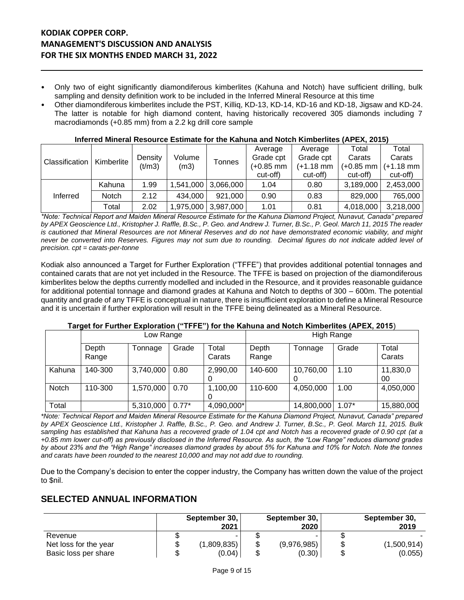- Only two of eight significantly diamondiferous kimberlites (Kahuna and Notch) have sufficient drilling, bulk sampling and density definition work to be included in the Inferred Mineral Resource at this time
- Other diamondiferous kimberlites include the PST, Killiq, KD-13, KD-14, KD-16 and KD-18, Jigsaw and KD-24. The latter is notable for high diamond content, having historically recovered 305 diamonds including 7 macrodiamonds (+0.85 mm) from a 2.2 kg drill core sample

| Classification |              |                   |                |           | Average   | Average   | Total       | Total       |
|----------------|--------------|-------------------|----------------|-----------|-----------|-----------|-------------|-------------|
|                | Kimberlite   | Density<br>(t/m3) | Volume<br>(m3) | Tonnes    | Grade cpt | Grade cpt | Carats      | Carats      |
|                |              |                   |                |           | (+0.85 mm | (+1.18 mm | $(+0.85$ mm | $(+1.18$ mm |
|                |              |                   |                |           | cut-off)  | cut-off)  | cut-off)    | cut-off)    |
|                | Kahuna       | 1.99              | 1.541.000      | 3,066,000 | 1.04      | 0.80      | 3,189,000   | 2,453,000   |
| Inferred       | <b>Notch</b> | 2.12              | 434.000        | 921,000   | 0.90      | 0.83      | 829,000     | 765,000     |
|                | Total        | 2.02              | 1,975,000      | 3,987,000 | 1.01      | 0.81      | 4,018,000   | 3,218,000   |

#### **Inferred Mineral Resource Estimate for the Kahuna and Notch Kimberlites (APEX, 2015)**

*\*Note: Technical Report and Maiden Mineral Resource Estimate for the Kahuna Diamond Project, Nunavut, Canada" prepared by APEX Geoscience Ltd., Kristopher J. Raffle, B.Sc., P. Geo. and Andrew J. Turner, B.Sc., P. Geol. March 11, 2015 The reader is cautioned that Mineral Resources are not Mineral Reserves and do not have demonstrated economic viability, and might never be converted into Reserves. Figures may not sum due to rounding. Decimal figures do not indicate added level of precision. cpt = carats-per-tonne*

Kodiak also announced a Target for Further Exploration ("TFFE") that provides additional potential tonnages and contained carats that are not yet included in the Resource. The TFFE is based on projection of the diamondiferous kimberlites below the depths currently modelled and included in the Resource, and it provides reasonable guidance for additional potential tonnage and diamond grades at Kahuna and Notch to depths of 300 – 600m. The potential quantity and grade of any TFFE is conceptual in nature, there is insufficient exploration to define a Mineral Resource and it is uncertain if further exploration will result in the TFFE being delineated as a Mineral Resource.

#### **Target for Further Exploration ("TFFE") for the Kahuna and Notch Kimberlites (APEX, 2015**)

|        |                | Low Range |         |                 |                | High Range |         |                 |
|--------|----------------|-----------|---------|-----------------|----------------|------------|---------|-----------------|
|        | Depth<br>Range | Tonnage   | Grade   | Total<br>Carats | Depth<br>Range | Tonnage    | Grade   | Total<br>Carats |
| Kahuna | 140-300        | 3,740,000 | 0.80    | 2,990,00        | 140-600        | 10,760,00  | 1.10    | 11,830,0<br>00  |
| Notch  | 110-300        | 1,570,000 | 0.70    | 1,100,00        | 110-600        | 4,050,000  | 1.00    | 4,050,000       |
| Total  |                | 5,310,000 | $0.77*$ | 4,090,000*      |                | 14,800,000 | $1.07*$ | 15,880,000      |

*\*Note: Technical Report and Maiden Mineral Resource Estimate for the Kahuna Diamond Project, Nunavut, Canada" prepared by APEX Geoscience Ltd., Kristopher J. Raffle, B.Sc., P. Geo. and Andrew J. Turner, B.Sc., P. Geol. March 11, 2015. Bulk sampling has established that Kahuna has a recovered grade of 1.04 cpt and Notch has a recovered grade of 0.90 cpt (at a +0.85 mm lower cut-off) as previously disclosed in the Inferred Resource. As such, the "Low Range" reduces diamond grades by about 23% and the "High Range" increases diamond grades by about 5% for Kahuna and 10% for Notch. Note the tonnes and carats have been rounded to the nearest 10,000 and may not add due to rounding.*

Due to the Company's decision to enter the copper industry, the Company has written down the value of the project to \$nil.

#### **SELECTED ANNUAL INFORMATION**

|                       |   | September 30,<br>2021 |   | September 30,<br>2020 | September 30,<br>2019 |
|-----------------------|---|-----------------------|---|-----------------------|-----------------------|
| Revenue               |   |                       |   |                       |                       |
| Net loss for the year | S | (1,809,835)           | J | (9,976,985)           | (1,500,914)           |
| Basic loss per share  |   | (0.04)                |   | (0.30)                | (0.055)               |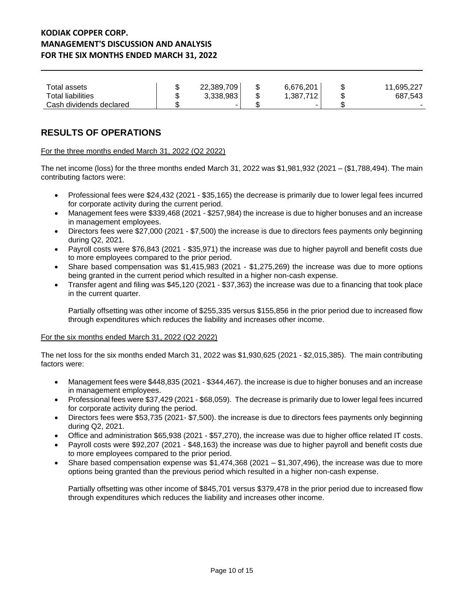| Total assets            | ጦ<br>۰D | 22,389,709 | 6,676,201 | 11,695,227 |
|-------------------------|---------|------------|-----------|------------|
| Total liabilities       | w       | 3,338,983  | 1,387,712 | 687,543    |
| Cash dividends declared |         | -          |           |            |

# **RESULTS OF OPERATIONS**

#### For the three months ended March 31, 2022 (Q2 2022)

The net income (loss) for the three months ended March 31, 2022 was \$1,981,932 (2021 – (\$1,788,494). The main contributing factors were:

- Professional fees were \$24,432 (2021 \$35,165) the decrease is primarily due to lower legal fees incurred for corporate activity during the current period.
- Management fees were \$339,468 (2021 \$257,984) the increase is due to higher bonuses and an increase in management employees.
- Directors fees were \$27,000 (2021 \$7,500) the increase is due to directors fees payments only beginning during Q2, 2021.
- Payroll costs were \$76,843 (2021 \$35,971) the increase was due to higher payroll and benefit costs due to more employees compared to the prior period.
- Share based compensation was \$1,415,983 (2021 \$1,275,269) the increase was due to more options being granted in the current period which resulted in a higher non-cash expense.
- Transfer agent and filing was \$45,120 (2021 \$37,363) the increase was due to a financing that took place in the current quarter.

Partially offsetting was other income of \$255,335 versus \$155,856 in the prior period due to increased flow through expenditures which reduces the liability and increases other income.

#### For the six months ended March 31, 2022 (Q2 2022)

The net loss for the six months ended March 31, 2022 was \$1,930,625 (2021 - \$2,015,385). The main contributing factors were:

- Management fees were \$448,835 (2021 \$344,467). the increase is due to higher bonuses and an increase in management employees.
- Professional fees were \$37,429 (2021 \$68,059). The decrease is primarily due to lower legal fees incurred for corporate activity during the period.
- Directors fees were \$53,735 (2021- \$7,500). the increase is due to directors fees payments only beginning during Q2, 2021.
- Office and administration \$65,938 (2021 \$57,270), the increase was due to higher office related IT costs.
- Payroll costs were \$92,207 (2021 \$48,163) the increase was due to higher payroll and benefit costs due to more employees compared to the prior period.
- Share based compensation expense was  $$1,474,368$  (2021  $$1,307,496$ ), the increase was due to more options being granted than the previous period which resulted in a higher non-cash expense.

Partially offsetting was other income of \$845,701 versus \$379,478 in the prior period due to increased flow through expenditures which reduces the liability and increases other income.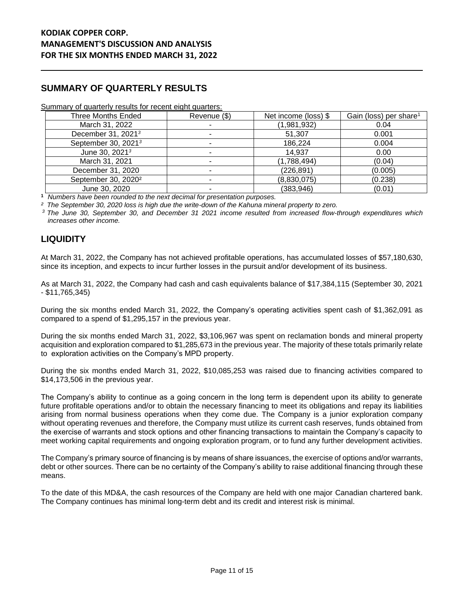# **SUMMARY OF QUARTERLY RESULTS**

#### Summary of quarterly results for recent eight quarters:

| Three Months Ended              | Revenue (\$) | Net income (loss) \$ | Gain (loss) per share <sup>1</sup> |
|---------------------------------|--------------|----------------------|------------------------------------|
| March 31, 2022                  |              | (1,981,932)          | 0.04                               |
| December 31, 2021 <sup>3</sup>  |              | 51,307               | 0.001                              |
| September 30, 2021 <sup>3</sup> |              | 186,224              | 0.004                              |
| June 30, 2021 <sup>3</sup>      |              | 14,937               | 0.00                               |
| March 31, 2021                  |              | (1,788,494)          | (0.04)                             |
| December 31, 2020               |              | (226, 891)           | (0.005)                            |
| September 30, 2020 <sup>2</sup> |              | (8,830,075)          | (0.238)                            |
| June 30, 2020                   |              | (383, 946)           | (0.01)                             |

**<sup>1</sup>** *Numbers have been rounded to the next decimal for presentation purposes.*

*² The September 30, 2020 loss is high due the write-down of the Kahuna mineral property to zero.*

*<sup>3</sup> The June 30, September 30, and December 31 2021 income resulted from increased flow-through expenditures which increases other income.*

# **LIQUIDITY**

At March 31, 2022, the Company has not achieved profitable operations, has accumulated losses of \$57,180,630, since its inception, and expects to incur further losses in the pursuit and/or development of its business.

As at March 31, 2022, the Company had cash and cash equivalents balance of \$17,384,115 (September 30, 2021 - \$11,765,345)

During the six months ended March 31, 2022, the Company's operating activities spent cash of \$1,362,091 as compared to a spend of \$1,295,157 in the previous year.

During the six months ended March 31, 2022, \$3,106,967 was spent on reclamation bonds and mineral property acquisition and exploration compared to \$1,285,673 in the previous year. The majority of these totals primarily relate to exploration activities on the Company's MPD property.

During the six months ended March 31, 2022, \$10,085,253 was raised due to financing activities compared to \$14,173,506 in the previous year.

The Company's ability to continue as a going concern in the long term is dependent upon its ability to generate future profitable operations and/or to obtain the necessary financing to meet its obligations and repay its liabilities arising from normal business operations when they come due. The Company is a junior exploration company without operating revenues and therefore, the Company must utilize its current cash reserves, funds obtained from the exercise of warrants and stock options and other financing transactions to maintain the Company's capacity to meet working capital requirements and ongoing exploration program, or to fund any further development activities.

The Company's primary source of financing is by means of share issuances, the exercise of options and/or warrants, debt or other sources. There can be no certainty of the Company's ability to raise additional financing through these means.

To the date of this MD&A, the cash resources of the Company are held with one major Canadian chartered bank. The Company continues has minimal long-term debt and its credit and interest risk is minimal.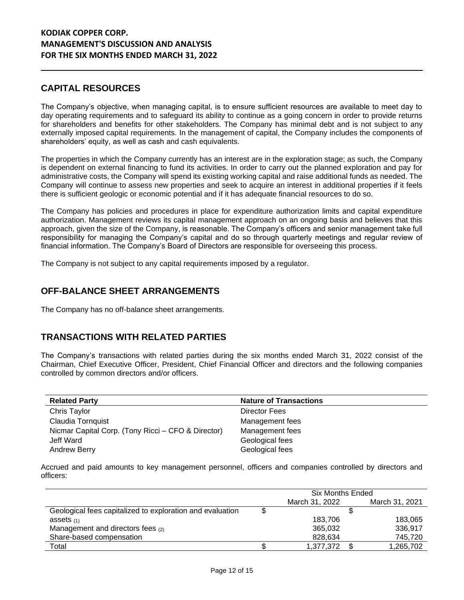# **CAPITAL RESOURCES**

The Company's objective, when managing capital, is to ensure sufficient resources are available to meet day to day operating requirements and to safeguard its ability to continue as a going concern in order to provide returns for shareholders and benefits for other stakeholders. The Company has minimal debt and is not subject to any externally imposed capital requirements. In the management of capital, the Company includes the components of shareholders' equity, as well as cash and cash equivalents.

The properties in which the Company currently has an interest are in the exploration stage; as such, the Company is dependent on external financing to fund its activities. In order to carry out the planned exploration and pay for administrative costs, the Company will spend its existing working capital and raise additional funds as needed. The Company will continue to assess new properties and seek to acquire an interest in additional properties if it feels there is sufficient geologic or economic potential and if it has adequate financial resources to do so.

The Company has policies and procedures in place for expenditure authorization limits and capital expenditure authorization. Management reviews its capital management approach on an ongoing basis and believes that this approach, given the size of the Company, is reasonable. The Company's officers and senior management take full responsibility for managing the Company's capital and do so through quarterly meetings and regular review of financial information. The Company's Board of Directors are responsible for overseeing this process.

The Company is not subject to any capital requirements imposed by a regulator.

## **OFF-BALANCE SHEET ARRANGEMENTS**

The Company has no off-balance sheet arrangements.

## **TRANSACTIONS WITH RELATED PARTIES**

The Company's transactions with related parties during the six months ended March 31, 2022 consist of the Chairman, Chief Executive Officer, President, Chief Financial Officer and directors and the following companies controlled by common directors and/or officers.

| <b>Related Party</b>                               | <b>Nature of Transactions</b> |
|----------------------------------------------------|-------------------------------|
| Chris Taylor                                       | Director Fees                 |
| Claudia Tornquist                                  | Management fees               |
| Nicmar Capital Corp. (Tony Ricci – CFO & Director) | Management fees               |
| Jeff Ward                                          | Geological fees               |
| <b>Andrew Berry</b>                                | Geological fees               |

Accrued and paid amounts to key management personnel, officers and companies controlled by directors and officers:

|                                                           | Six Months Ended |  |                |  |  |
|-----------------------------------------------------------|------------------|--|----------------|--|--|
|                                                           | March 31, 2022   |  | March 31, 2021 |  |  |
| Geological fees capitalized to exploration and evaluation |                  |  |                |  |  |
| assets $(1)$                                              | 183.706          |  | 183,065        |  |  |
| Management and directors fees (2)                         | 365,032          |  | 336,917        |  |  |
| Share-based compensation                                  | 828,634          |  | 745.720        |  |  |
| Total                                                     | 1,377,372        |  | 1,265,702      |  |  |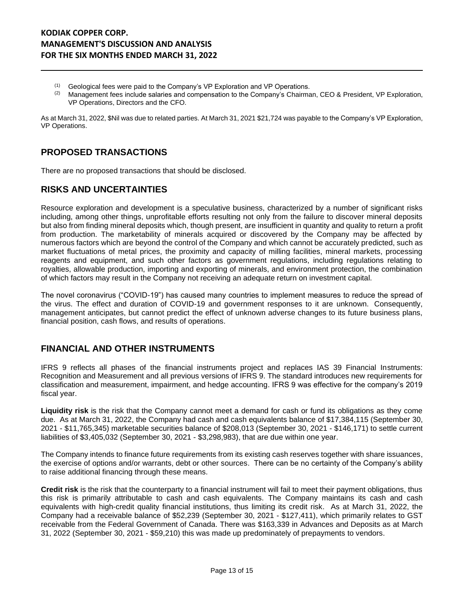- $(1)$  Geological fees were paid to the Company's VP Exploration and VP Operations.
- $(2)$  Management fees include salaries and compensation to the Company's Chairman, CEO & President, VP Exploration, VP Operations, Directors and the CFO.

As at March 31, 2022, \$Nil was due to related parties. At March 31, 2021 \$21,724 was payable to the Company's VP Exploration, VP Operations.

## **PROPOSED TRANSACTIONS**

There are no proposed transactions that should be disclosed.

#### **RISKS AND UNCERTAINTIES**

Resource exploration and development is a speculative business, characterized by a number of significant risks including, among other things, unprofitable efforts resulting not only from the failure to discover mineral deposits but also from finding mineral deposits which, though present, are insufficient in quantity and quality to return a profit from production. The marketability of minerals acquired or discovered by the Company may be affected by numerous factors which are beyond the control of the Company and which cannot be accurately predicted, such as market fluctuations of metal prices, the proximity and capacity of milling facilities, mineral markets, processing reagents and equipment, and such other factors as government regulations, including regulations relating to royalties, allowable production, importing and exporting of minerals, and environment protection, the combination of which factors may result in the Company not receiving an adequate return on investment capital.

The novel coronavirus ("COVID-19") has caused many countries to implement measures to reduce the spread of the virus. The effect and duration of COVID-19 and government responses to it are unknown. Consequently, management anticipates, but cannot predict the effect of unknown adverse changes to its future business plans, financial position, cash flows, and results of operations.

#### **FINANCIAL AND OTHER INSTRUMENTS**

IFRS 9 reflects all phases of the financial instruments project and replaces IAS 39 Financial Instruments: Recognition and Measurement and all previous versions of IFRS 9. The standard introduces new requirements for classification and measurement, impairment, and hedge accounting. IFRS 9 was effective for the company's 2019 fiscal year.

**Liquidity risk** is the risk that the Company cannot meet a demand for cash or fund its obligations as they come due. As at March 31, 2022, the Company had cash and cash equivalents balance of \$17,384,115 (September 30, 2021 - \$11,765,345) marketable securities balance of \$208,013 (September 30, 2021 - \$146,171) to settle current liabilities of \$3,405,032 (September 30, 2021 - \$3,298,983), that are due within one year.

The Company intends to finance future requirements from its existing cash reserves together with share issuances, the exercise of options and/or warrants, debt or other sources. There can be no certainty of the Company's ability to raise additional financing through these means.

**Credit risk** is the risk that the counterparty to a financial instrument will fail to meet their payment obligations, thus this risk is primarily attributable to cash and cash equivalents. The Company maintains its cash and cash equivalents with high-credit quality financial institutions, thus limiting its credit risk. As at March 31, 2022, the Company had a receivable balance of \$52,239 (September 30, 2021 - \$127,411), which primarily relates to GST receivable from the Federal Government of Canada. There was \$163,339 in Advances and Deposits as at March 31, 2022 (September 30, 2021 - \$59,210) this was made up predominately of prepayments to vendors.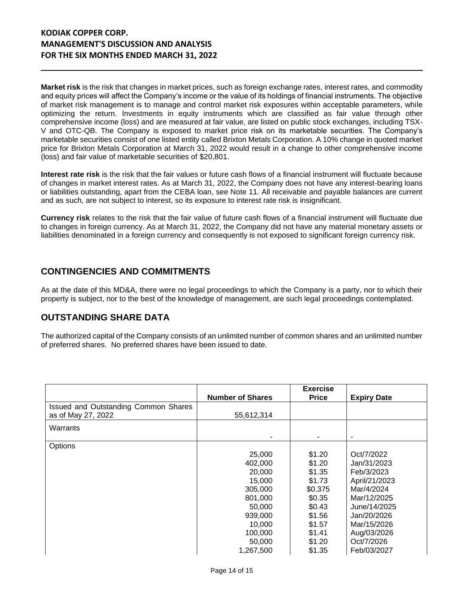**Market risk** is the risk that changes in market prices, such as foreign exchange rates, interest rates, and commodity and equity prices will affect the Company's income or the value of its holdings of financial instruments. The objective of market risk management is to manage and control market risk exposures within acceptable parameters, while optimizing the return. Investments in equity instruments which are classified as fair value through other comprehensive income (loss) and are measured at fair value, are listed on public stock exchanges, including TSX-V and OTC-QB. The Company is exposed to market price risk on its marketable securities. The Company's marketable securities consist of one listed entity called Brixton Metals Corporation. A 10% change in quoted market price for Brixton Metals Corporation at March 31, 2022 would result in a change to other comprehensive income (loss) and fair value of marketable securities of \$20,801.

**Interest rate risk** is the risk that the fair values or future cash flows of a financial instrument will fluctuate because of changes in market interest rates. As at March 31, 2022, the Company does not have any interest-bearing loans or liabilities outstanding, apart from the CEBA loan, see Note 11. All receivable and payable balances are current and as such, are not subject to interest, so its exposure to interest rate risk is insignificant.

**Currency risk** relates to the risk that the fair value of future cash flows of a financial instrument will fluctuate due to changes in foreign currency. As at March 31, 2022, the Company did not have any material monetary assets or liabilities denominated in a foreign currency and consequently is not exposed to significant foreign currency risk.

# **CONTINGENCIES AND COMMITMENTS**

As at the date of this MD&A, there were no legal proceedings to which the Company is a party, nor to which their property is subject, nor to the best of the knowledge of management, are such legal proceedings contemplated.

# **OUTSTANDING SHARE DATA**

The authorized capital of the Company consists of an unlimited number of common shares and an unlimited number of preferred shares. No preferred shares have been issued to date.

|                                      | <b>Number of Shares</b> | <b>Exercise</b><br><b>Price</b> | <b>Expiry Date</b> |
|--------------------------------------|-------------------------|---------------------------------|--------------------|
| Issued and Outstanding Common Shares |                         |                                 |                    |
| as of May 27, 2022                   | 55,612,314              |                                 |                    |
| Warrants                             |                         |                                 |                    |
|                                      |                         |                                 |                    |
| Options                              |                         |                                 |                    |
|                                      | 25,000                  | \$1.20                          | Oct/7/2022         |
|                                      | 402,000                 | \$1.20                          | Jan/31/2023        |
|                                      | 20,000                  | \$1.35                          | Feb/3/2023         |
|                                      | 15,000                  | \$1.73                          | April/21/2023      |
|                                      | 305,000                 | \$0.375                         | Mar/4/2024         |
|                                      | 801,000                 | \$0.35                          | Mar/12/2025        |
|                                      | 50,000                  | \$0.43                          | June/14/2025       |
|                                      | 939,000                 | \$1.56                          | Jan/20/2026        |
|                                      | 10,000                  | \$1.57                          | Mar/15/2026        |
|                                      | 100,000                 | \$1.41                          | Aug/03/2026        |
|                                      | 50,000                  | \$1.20                          | Oct/7/2026         |
|                                      | 1,267,500               | \$1.35                          | Feb/03/2027        |